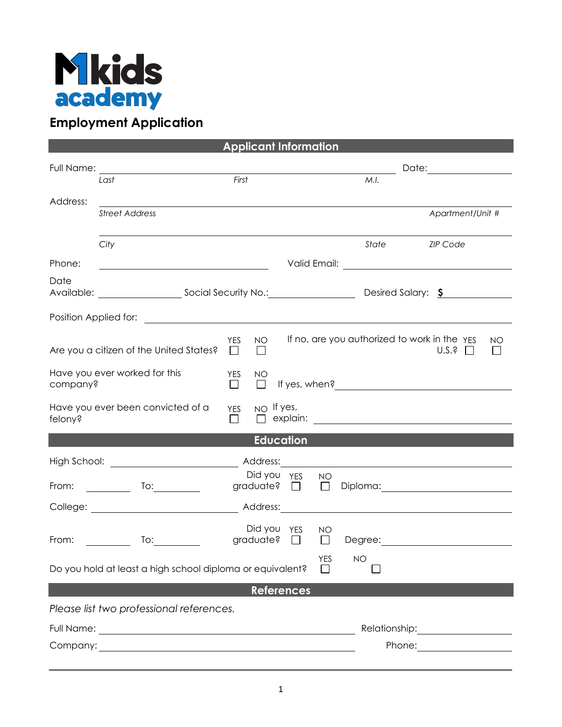

## **Employment Application**

| <b>Applicant Information</b>                                                                                                                                                                                                         |                                                                                                                      |                      |              |                                 |                      |                                                                                                                                                                                                                                        |                             |  |  |  |
|--------------------------------------------------------------------------------------------------------------------------------------------------------------------------------------------------------------------------------------|----------------------------------------------------------------------------------------------------------------------|----------------------|--------------|---------------------------------|----------------------|----------------------------------------------------------------------------------------------------------------------------------------------------------------------------------------------------------------------------------------|-----------------------------|--|--|--|
| Full Name:                                                                                                                                                                                                                           |                                                                                                                      |                      |              |                                 | Date: ______________ |                                                                                                                                                                                                                                        |                             |  |  |  |
|                                                                                                                                                                                                                                      | Last                                                                                                                 | First                |              |                                 |                      | M.I.                                                                                                                                                                                                                                   |                             |  |  |  |
| Address:                                                                                                                                                                                                                             |                                                                                                                      |                      |              |                                 |                      |                                                                                                                                                                                                                                        |                             |  |  |  |
|                                                                                                                                                                                                                                      | <b>Street Address</b>                                                                                                |                      |              |                                 |                      |                                                                                                                                                                                                                                        | Apartment/Unit #            |  |  |  |
|                                                                                                                                                                                                                                      |                                                                                                                      |                      |              |                                 |                      |                                                                                                                                                                                                                                        |                             |  |  |  |
|                                                                                                                                                                                                                                      | City                                                                                                                 |                      |              |                                 |                      | State                                                                                                                                                                                                                                  | <b>ZIP Code</b>             |  |  |  |
| Phone:                                                                                                                                                                                                                               | <u> Alexandria de la contrada de la contrada de la contrada de la contrada de la contrada de la contrada de la c</u> |                      |              |                                 |                      |                                                                                                                                                                                                                                        |                             |  |  |  |
| Date                                                                                                                                                                                                                                 |                                                                                                                      |                      |              |                                 |                      |                                                                                                                                                                                                                                        |                             |  |  |  |
|                                                                                                                                                                                                                                      |                                                                                                                      |                      |              |                                 |                      |                                                                                                                                                                                                                                        |                             |  |  |  |
|                                                                                                                                                                                                                                      |                                                                                                                      | <b>YES</b>           | <b>NO</b>    |                                 |                      | If no, are you authorized to work in the YES                                                                                                                                                                                           | ΝO                          |  |  |  |
|                                                                                                                                                                                                                                      | Are you a citizen of the United States?                                                                              | $\Box$               | $\mathbf{I}$ |                                 |                      |                                                                                                                                                                                                                                        | U.S.?                       |  |  |  |
| Have you ever worked for this                                                                                                                                                                                                        |                                                                                                                      | <b>YES</b>           | <b>NO</b>    |                                 |                      |                                                                                                                                                                                                                                        |                             |  |  |  |
| company?                                                                                                                                                                                                                             |                                                                                                                      | $\Box$               | $\Box$       |                                 |                      | If yes, when?<br><u>Letting and the set of the set of the set of the set of the set of the set of the set of the set of the set of the set of the set of the set of the set of the set of the set of the set of the set of the set</u> |                             |  |  |  |
| felony?                                                                                                                                                                                                                              | Have you ever been convicted of a                                                                                    | <b>YES</b><br>$\Box$ |              | $NO$ If yes,                    |                      |                                                                                                                                                                                                                                        |                             |  |  |  |
| <b>Education</b>                                                                                                                                                                                                                     |                                                                                                                      |                      |              |                                 |                      |                                                                                                                                                                                                                                        |                             |  |  |  |
|                                                                                                                                                                                                                                      |                                                                                                                      |                      |              |                                 |                      |                                                                                                                                                                                                                                        |                             |  |  |  |
| From:                                                                                                                                                                                                                                | <u> 1990 - Jan Jawa</u>                                                                                              |                      |              | Did you YES<br>graduate? $\Box$ | NO<br>$\Box$         |                                                                                                                                                                                                                                        |                             |  |  |  |
|                                                                                                                                                                                                                                      |                                                                                                                      |                      |              |                                 |                      |                                                                                                                                                                                                                                        |                             |  |  |  |
|                                                                                                                                                                                                                                      |                                                                                                                      |                      |              | Address:                        |                      |                                                                                                                                                                                                                                        |                             |  |  |  |
| From:                                                                                                                                                                                                                                | <u>and the state</u><br>To: $\_\_$                                                                                   |                      |              | Did you YES<br>graduate? $\Box$ | NO<br>$\Box$         |                                                                                                                                                                                                                                        |                             |  |  |  |
|                                                                                                                                                                                                                                      |                                                                                                                      |                      |              |                                 |                      |                                                                                                                                                                                                                                        |                             |  |  |  |
| <b>YES</b><br>NO<br>Do you hold at least a high school diploma or equivalent?                                                                                                                                                        |                                                                                                                      |                      |              |                                 |                      |                                                                                                                                                                                                                                        |                             |  |  |  |
|                                                                                                                                                                                                                                      |                                                                                                                      |                      |              | <b>References</b>               |                      |                                                                                                                                                                                                                                        |                             |  |  |  |
| Please list two professional references.                                                                                                                                                                                             |                                                                                                                      |                      |              |                                 |                      |                                                                                                                                                                                                                                        |                             |  |  |  |
| Full Name: <u>example and the set of the set of the set of the set of the set of the set of the set of the set of the set of the set of the set of the set of the set of the set of the set of the set of the set of the set of </u> |                                                                                                                      |                      |              |                                 |                      |                                                                                                                                                                                                                                        |                             |  |  |  |
|                                                                                                                                                                                                                                      |                                                                                                                      |                      |              |                                 |                      |                                                                                                                                                                                                                                        | Phone: <u>_____________</u> |  |  |  |
|                                                                                                                                                                                                                                      |                                                                                                                      |                      |              |                                 |                      |                                                                                                                                                                                                                                        |                             |  |  |  |